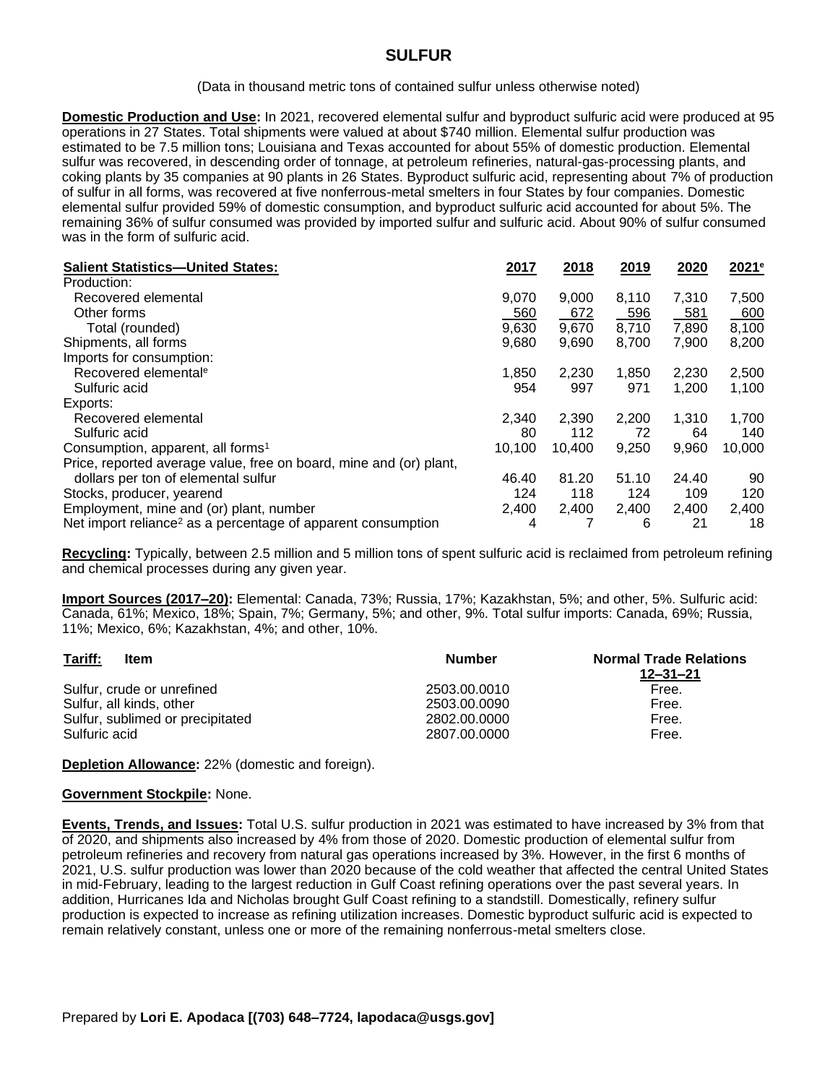## **SULFUR**

(Data in thousand metric tons of contained sulfur unless otherwise noted)

**Domestic Production and Use:** In 2021, recovered elemental sulfur and byproduct sulfuric acid were produced at 95 operations in 27 States. Total shipments were valued at about \$740 million. Elemental sulfur production was estimated to be 7.5 million tons; Louisiana and Texas accounted for about 55% of domestic production. Elemental sulfur was recovered, in descending order of tonnage, at petroleum refineries, natural-gas-processing plants, and coking plants by 35 companies at 90 plants in 26 States. Byproduct sulfuric acid, representing about 7% of production of sulfur in all forms, was recovered at five nonferrous-metal smelters in four States by four companies. Domestic elemental sulfur provided 59% of domestic consumption, and byproduct sulfuric acid accounted for about 5%. The remaining 36% of sulfur consumed was provided by imported sulfur and sulfuric acid. About 90% of sulfur consumed was in the form of sulfuric acid.

| <b>Salient Statistics-United States:</b>                                 | 2017   | 2018   | 2019  | 2020  | 2021 <sup>e</sup> |
|--------------------------------------------------------------------------|--------|--------|-------|-------|-------------------|
| Production:                                                              |        |        |       |       |                   |
| Recovered elemental                                                      | 9,070  | 9,000  | 8,110 | 7,310 | 7,500             |
| Other forms                                                              | 560    | 672    | 596   | 581   | 600               |
| Total (rounded)                                                          | 9,630  | 9,670  | 8,710 | 7,890 | 8,100             |
| Shipments, all forms                                                     | 9,680  | 9,690  | 8,700 | 7,900 | 8,200             |
| Imports for consumption:                                                 |        |        |       |       |                   |
| Recovered elemental <sup>e</sup>                                         | 1,850  | 2,230  | 1,850 | 2,230 | 2,500             |
| Sulfuric acid                                                            | 954    | 997    | 971   | 1,200 | 1,100             |
| Exports:                                                                 |        |        |       |       |                   |
| Recovered elemental                                                      | 2,340  | 2,390  | 2,200 | 1,310 | 1.700             |
| Sulfuric acid                                                            | 80     | 112    | 72    | 64    | 140               |
| Consumption, apparent, all forms <sup>1</sup>                            | 10,100 | 10.400 | 9,250 | 9,960 | 10,000            |
| Price, reported average value, free on board, mine and (or) plant,       |        |        |       |       |                   |
| dollars per ton of elemental sulfur                                      | 46.40  | 81.20  | 51.10 | 24.40 | 90                |
| Stocks, producer, yearend                                                | 124    | 118    | 124   | 109   | 120               |
| Employment, mine and (or) plant, number                                  | 2,400  | 2,400  | 2,400 | 2,400 | 2,400             |
| Net import reliance <sup>2</sup> as a percentage of apparent consumption | 4      |        | 6     | 21    | 18                |

**Recycling:** Typically, between 2.5 million and 5 million tons of spent sulfuric acid is reclaimed from petroleum refining and chemical processes during any given year.

**Import Sources (2017–20):** Elemental: Canada, 73%; Russia, 17%; Kazakhstan, 5%; and other, 5%. Sulfuric acid: Canada, 61%; Mexico, 18%; Spain, 7%; Germany, 5%; and other, 9%. Total sulfur imports: Canada, 69%; Russia, 11%; Mexico, 6%; Kazakhstan, 4%; and other, 10%.

| Tariff:<br>Item                  | <b>Number</b> | <b>Normal Trade Relations</b><br>12–31–21 |
|----------------------------------|---------------|-------------------------------------------|
| Sulfur, crude or unrefined       | 2503.00.0010  | Free.                                     |
| Sulfur, all kinds, other         | 2503.00.0090  | Free.                                     |
| Sulfur, sublimed or precipitated | 2802.00.0000  | Free.                                     |
| Sulfuric acid                    | 2807.00.0000  | Free.                                     |

**Depletion Allowance:** 22% (domestic and foreign).

## **Government Stockpile:** None.

**Events, Trends, and Issues:** Total U.S. sulfur production in 2021 was estimated to have increased by 3% from that of 2020, and shipments also increased by 4% from those of 2020. Domestic production of elemental sulfur from petroleum refineries and recovery from natural gas operations increased by 3%. However, in the first 6 months of 2021, U.S. sulfur production was lower than 2020 because of the cold weather that affected the central United States in mid-February, leading to the largest reduction in Gulf Coast refining operations over the past several years. In addition, Hurricanes Ida and Nicholas brought Gulf Coast refining to a standstill. Domestically, refinery sulfur production is expected to increase as refining utilization increases. Domestic byproduct sulfuric acid is expected to remain relatively constant, unless one or more of the remaining nonferrous-metal smelters close.